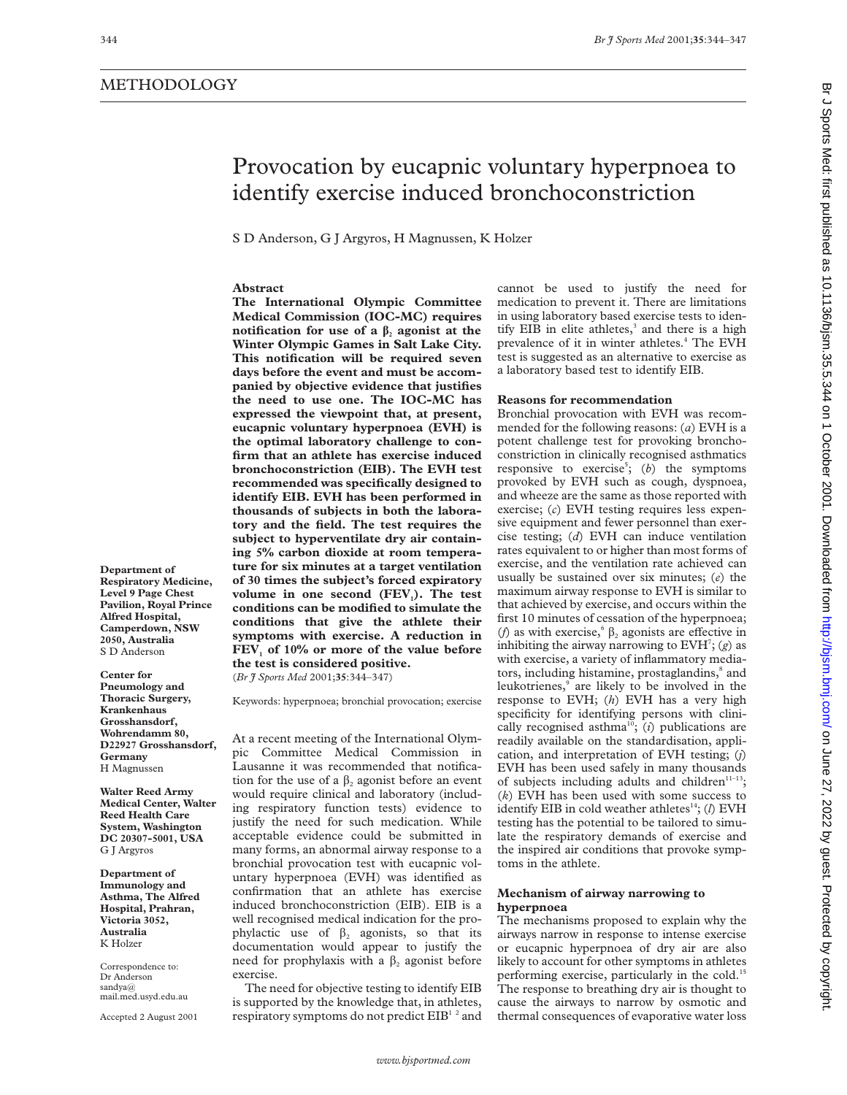**Abstract**

# Provocation by eucapnic voluntary hyperpnoea to identify exercise induced bronchoconstriction cannot be used to justify the need for medication to prevent it. There are limitations in using laboratory based exercise tests to identify EIB in elite athletes,<sup>3</sup> and there is a high prevalence of it in winter athletes.<sup>4</sup> The EVH test is suggested as an alternative to exercise as a laboratory based test to identify EIB. **Reasons for recommendation**

Bronchial provocation with EVH was recommended for the following reasons: (*a*) EVH is a potent challenge test for provoking bronchoconstriction in clinically recognised asthmatics responsive to exercise<sup>5</sup>; (b) the symptoms provoked by EVH such as cough, dyspnoea, and wheeze are the same as those reported with exercise; (*c*) EVH testing requires less expensive equipment and fewer personnel than exercise testing; (*d*) EVH can induce ventilation rates equivalent to or higher than most forms of exercise, and the ventilation rate achieved can usually be sustained over six minutes; (*e*) the maximum airway response to EVH is similar to that achieved by exercise, and occurs within the first 10 minutes of cessation of the hyperpnoea; (*f*) as with exercise,<sup>6</sup>  $\beta$ <sub>2</sub> agonists are effective in inhibiting the airway narrowing to  $EVH^7$ ; (g) as with exercise, a variety of inflammatory mediators, including histamine, prostaglandins,<sup>8</sup> and leukotrienes,<sup>9</sup> are likely to be involved in the response to EVH; (*h*) EVH has a very high specificity for identifying persons with clinically recognised asthma<sup>10</sup>; ( $i$ ) publications are readily available on the standardisation, application, and interpretation of EVH testing; (*j*) EVH has been used safely in many thousands of subjects including adults and children<sup>11-13</sup>; (*k*) EVH has been used with some success to identify EIB in cold weather athletes<sup>14</sup>; (*l*) EVH testing has the potential to be tailored to simulate the respiratory demands of exercise and the inspired air conditions that provoke symptoms in the athlete.

# **Mechanism of airway narrowing to hyperpnoea**

The mechanisms proposed to explain why the airways narrow in response to intense exercise or eucapnic hyperpnoea of dry air are also likely to account for other symptoms in athletes performing exercise, particularly in the cold.<sup>15</sup> The response to breathing dry air is thought to cause the airways to narrow by osmotic and thermal consequences of evaporative water loss

**Department of Respiratory Medicine, Level 9 Page Chest Pavilion, Royal Prince Alfred Hospital, Camperdown, NSW 2050, Australia** S D Anderson

**Center for Pneumology and Thoracic Surgery, Krankenhaus Grosshansdorf, Wohrendamm 80, D22927 Grosshansdorf, Germany** H Magnussen

**Walter Reed Army Medical Center, Walter Reed Health Care System, Washington DC 20307-5001, USA** G J Argyros

**Department of Immunology and Asthma, The Alfred Hospital, Prahran, Victoria 3052, Australia** K Holzer

Correspondence to: Dr Anderson sandya@ mail.med.usyd.edu.au

Accepted 2 August 2001

# **Medical Commission (IOC-MC) requires notification for use of a**  $\beta_2$  **agonist at the Winter Olympic Games in Salt Lake City. This notification will be required seven days before the event and must be accompanied by objective evidence that justifies the need to use one. The IOC-MC has expressed the viewpoint that, at present, eucapnic voluntary hyperpnoea (EVH) is the optimal laboratory challenge to confirm that an athlete has exercise induced bronchoconstriction (EIB). The EVH test recommended was specifically designed to identify EIB. EVH has been performed in thousands of subjects in both the laboratory and the field. The test requires the subject to hyperventilate dry air containing 5% carbon dioxide at room temperature for six minutes at a target ventilation of 30 times the subject's forced expiratory** volume in one second (FEV<sub>1</sub>). The test **conditions can be modified to simulate the conditions that give the athlete their symptoms with exercise. A reduction in** FEV<sub>1</sub> of 10% or more of the value before **the test is considered positive.** (*Br J Sports Med* 2001;**35**:344–347)

S D Anderson, G J Argyros, H Magnussen, K Holzer

**The International Olympic Committee**

Keywords: hyperpnoea; bronchial provocation; exercise

At a recent meeting of the International Olympic Committee Medical Commission in Lausanne it was recommended that notification for the use of a  $\beta_2$  agonist before an event would require clinical and laboratory (including respiratory function tests) evidence to justify the need for such medication. While acceptable evidence could be submitted in many forms, an abnormal airway response to a bronchial provocation test with eucapnic voluntary hyperpnoea (EVH) was identified as confirmation that an athlete has exercise induced bronchoconstriction (EIB). EIB is a well recognised medical indication for the prophylactic use of  $\beta_2$  agonists, so that its documentation would appear to justify the need for prophylaxis with a  $\beta$ , agonist before exercise.

The need for objective testing to identify EIB is supported by the knowledge that, in athletes, respiratory symptoms do not predict EIB<sup>12</sup> and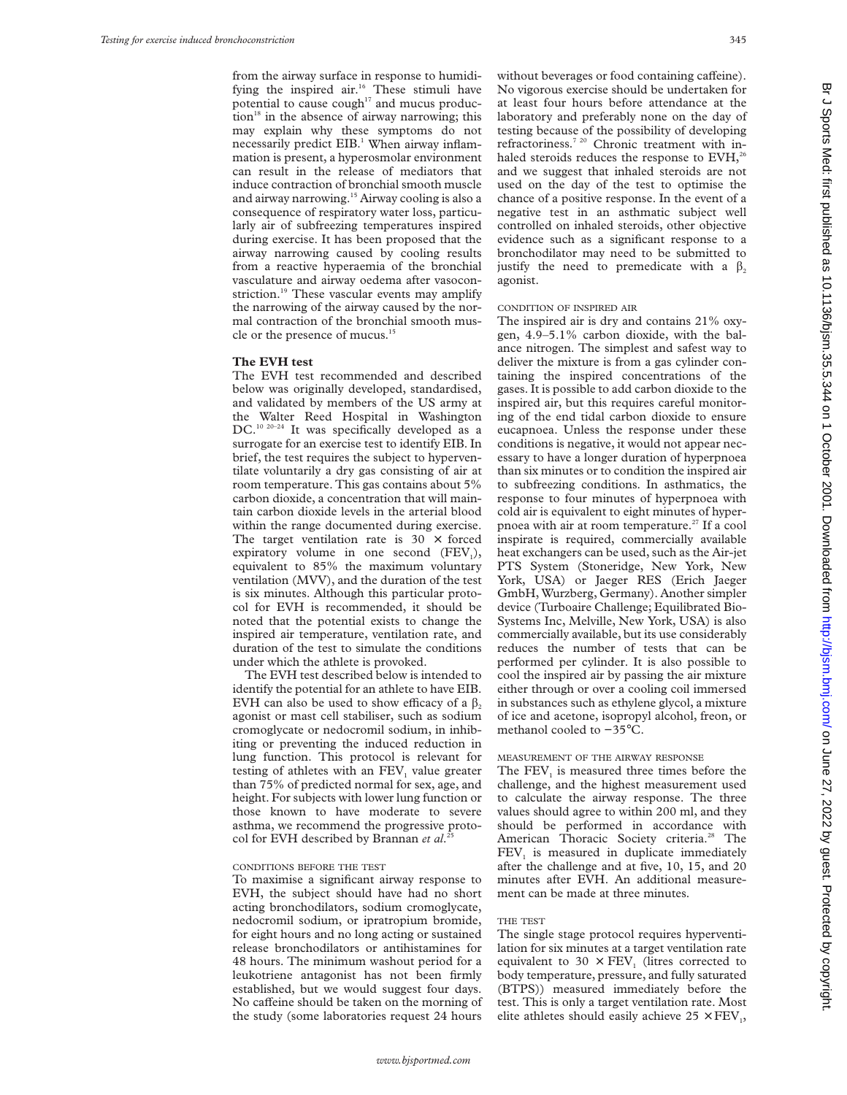from the airway surface in response to humidifying the inspired air.<sup>16</sup> These stimuli have potential to cause  $\text{cough}^{17}$  and mucus produc- $\chi$  tion<sup>18</sup> in the absence of airway narrowing; this may explain why these symptoms do not necessarily predict EIB.<sup>1</sup> When airway inflammation is present, a hyperosmolar environment can result in the release of mediators that induce contraction of bronchial smooth muscle and airway narrowing.<sup>15</sup> Airway cooling is also a consequence of respiratory water loss, particularly air of subfreezing temperatures inspired during exercise. It has been proposed that the airway narrowing caused by cooling results from a reactive hyperaemia of the bronchial vasculature and airway oedema after vasoconstriction.<sup>19</sup> These vascular events may amplify the narrowing of the airway caused by the normal contraction of the bronchial smooth muscle or the presence of mucus.<sup>15</sup>

## **The EVH test**

The EVH test recommended and described below was originally developed, standardised, and validated by members of the US army at the Walter Reed Hospital in Washington DC.<sup>10 20-24</sup> It was specifically developed as a surrogate for an exercise test to identify EIB. In brief, the test requires the subject to hyperventilate voluntarily a dry gas consisting of air at room temperature. This gas contains about 5% carbon dioxide, a concentration that will maintain carbon dioxide levels in the arterial blood within the range documented during exercise. The target ventilation rate is  $30 \times$  forced expiratory volume in one second  $(FEV_i)$ , equivalent to 85% the maximum voluntary ventilation (MVV), and the duration of the test is six minutes. Although this particular protocol for EVH is recommended, it should be noted that the potential exists to change the inspired air temperature, ventilation rate, and duration of the test to simulate the conditions under which the athlete is provoked.

The EVH test described below is intended to identify the potential for an athlete to have EIB. EVH can also be used to show efficacy of a  $\beta$ , agonist or mast cell stabiliser, such as sodium cromoglycate or nedocromil sodium, in inhibiting or preventing the induced reduction in lung function. This protocol is relevant for testing of athletes with an FEV, value greater than 75% of predicted normal for sex, age, and height. For subjects with lower lung function or those known to have moderate to severe asthma, we recommend the progressive protocol for EVH described by Brannan *et al*. 25

## CONDITIONS BEFORE THE TEST

To maximise a significant airway response to EVH, the subject should have had no short acting bronchodilators, sodium cromoglycate, nedocromil sodium, or ipratropium bromide, for eight hours and no long acting or sustained release bronchodilators or antihistamines for 48 hours. The minimum washout period for a leukotriene antagonist has not been firmly established, but we would suggest four days. No caffeine should be taken on the morning of the study (some laboratories request 24 hours

without beverages or food containing caffeine). No vigorous exercise should be undertaken for at least four hours before attendance at the laboratory and preferably none on the day of testing because of the possibility of developing refractoriness.<sup>7 20</sup> Chronic treatment with inhaled steroids reduces the response to EVH,<sup>26</sup> and we suggest that inhaled steroids are not used on the day of the test to optimise the chance of a positive response. In the event of a negative test in an asthmatic subject well controlled on inhaled steroids, other objective evidence such as a significant response to a bronchodilator may need to be submitted to justify the need to premedicate with a  $\beta_2$ agonist.

## CONDITION OF INSPIRED AIR

The inspired air is dry and contains 21% oxygen, 4.9–5.1% carbon dioxide, with the balance nitrogen. The simplest and safest way to deliver the mixture is from a gas cylinder containing the inspired concentrations of the gases. It is possible to add carbon dioxide to the inspired air, but this requires careful monitoring of the end tidal carbon dioxide to ensure eucapnoea. Unless the response under these conditions is negative, it would not appear necessary to have a longer duration of hyperpnoea than six minutes or to condition the inspired air to subfreezing conditions. In asthmatics, the response to four minutes of hyperpnoea with cold air is equivalent to eight minutes of hyperpnoea with air at room temperature.<sup>27</sup> If a cool inspirate is required, commercially available heat exchangers can be used, such as the Air-jet PTS System (Stoneridge, New York, New York, USA) or Jaeger RES (Erich Jaeger GmbH, Wurzberg, Germany). Another simpler device (Turboaire Challenge; Equilibrated Bio-Systems Inc, Melville, New York, USA) is also commercially available, but its use considerably reduces the number of tests that can be performed per cylinder. It is also possible to cool the inspired air by passing the air mixture either through or over a cooling coil immersed in substances such as ethylene glycol, a mixture of ice and acetone, isopropyl alcohol, freon, or methanol cooled to −35°C.

#### MEASUREMENT OF THE AIRWAY RESPONSE

The FEV<sub>1</sub> is measured three times before the challenge, and the highest measurement used to calculate the airway response. The three values should agree to within 200 ml, and they should be performed in accordance with American Thoracic Society criteria.<sup>28</sup> The  $FEV<sub>1</sub>$  is measured in duplicate immediately after the challenge and at five, 10, 15, and 20 minutes after EVH. An additional measurement can be made at three minutes.

#### THE TEST

The single stage protocol requires hyperventilation for six minutes at a target ventilation rate equivalent to 30  $\times$  FEV<sub>1</sub> (litres corrected to body temperature, pressure, and fully saturated (BTPS)) measured immediately before the test. This is only a target ventilation rate. Most elite athletes should easily achieve  $25 \times FEV_1$ ,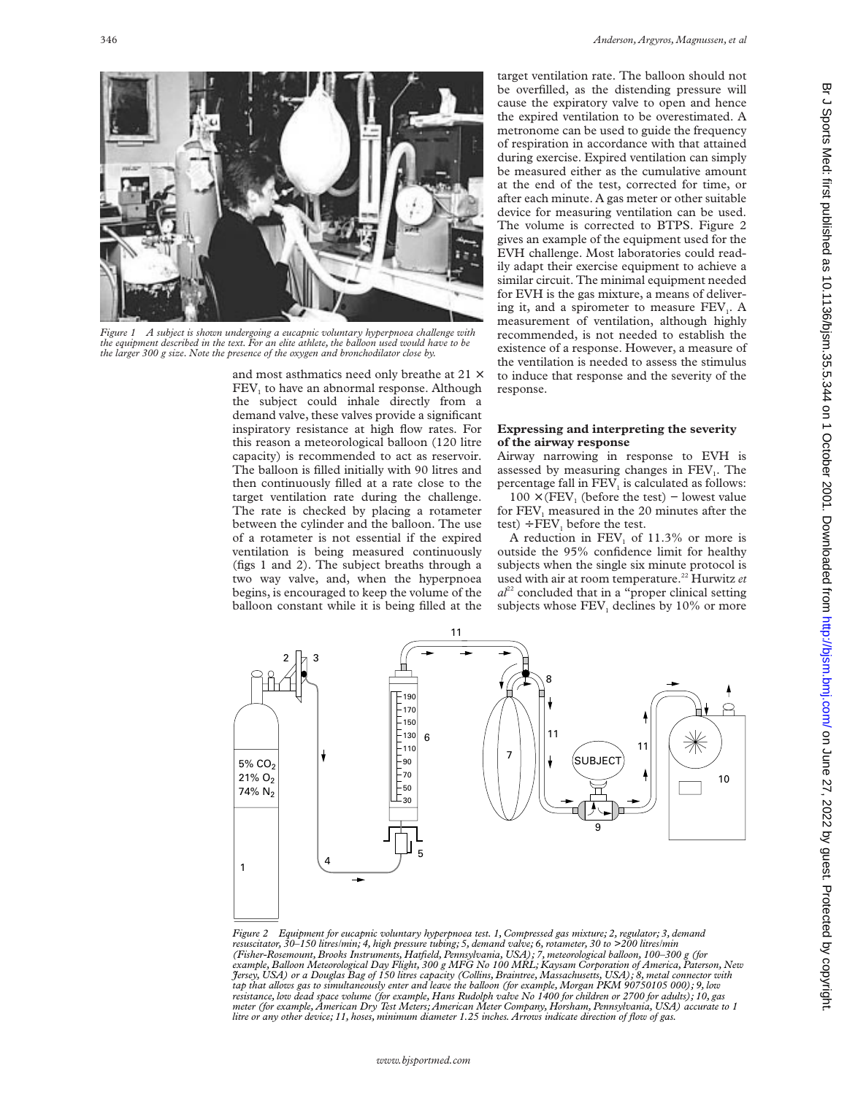

*Figure 1 A subject is shown undergoing a eucapnic voluntary hyperpnoea challenge with the equipment described in the text. For an elite athlete, the balloon used would have to be the larger 300 g size. Note the presence of the oxygen and bronchodilator close by.*

and most asthmatics need only breathe at 21 × FEV<sub>1</sub> to have an abnormal response. Although the subject could inhale directly from a demand valve, these valves provide a significant inspiratory resistance at high flow rates. For this reason a meteorological balloon (120 litre capacity) is recommended to act as reservoir. The balloon is filled initially with 90 litres and then continuously filled at a rate close to the target ventilation rate during the challenge. The rate is checked by placing a rotameter between the cylinder and the balloon. The use of a rotameter is not essential if the expired ventilation is being measured continuously (figs 1 and 2). The subject breaths through a two way valve, and, when the hyperpnoea begins, is encouraged to keep the volume of the balloon constant while it is being filled at the

target ventilation rate. The balloon should not be overfilled, as the distending pressure will cause the expiratory valve to open and hence the expired ventilation to be overestimated. A metronome can be used to guide the frequency of respiration in accordance with that attained during exercise. Expired ventilation can simply be measured either as the cumulative amount at the end of the test, corrected for time, or after each minute. A gas meter or other suitable device for measuring ventilation can be used. The volume is corrected to BTPS. Figure 2 gives an example of the equipment used for the EVH challenge. Most laboratories could readily adapt their exercise equipment to achieve a similar circuit. The minimal equipment needed for EVH is the gas mixture, a means of delivering it, and a spirometer to measure  $FEV<sub>1</sub>$ . A measurement of ventilation, although highly recommended, is not needed to establish the existence of a response. However, a measure of the ventilation is needed to assess the stimulus to induce that response and the severity of the response.

## **Expressing and interpreting the severity of the airway response**

Airway narrowing in response to EVH is assessed by measuring changes in  $FEV<sub>1</sub>$ . The percentage fall in  $FEV<sub>1</sub>$  is calculated as follows:

 $100 \times (FEV_1$  (before the test) – lowest value for FEV<sub>1</sub> measured in the 20 minutes after the test) ÷  $FEV_1$  before the test.

A reduction in  $FEV<sub>1</sub>$  of 11.3% or more is outside the 95% confidence limit for healthy subjects when the single six minute protocol is used with air at room temperature.<sup>22</sup> Hurwitz et  $a^{22}$  concluded that in a "proper clinical setting subjects whose  $FEV<sub>1</sub>$  declines by 10% or more



*Figure 2 Equipment for eucapnic voluntary hyperpnoea test. 1, Compressed gas mixture; 2, regulator; 3, demand resuscitator, 30–150 litres/min; 4, high pressure tubing; 5, demand valve; 6, rotameter, 30 to >200 litres/min* (Fisher-Rosemount, Brooks Instruments, Hatfield, Pennsylvania, USA); 7, meteorological balloon, 100–300 g (for<br>example, Balloon Meteorological Day Flight, 300 g MFG No 100 MRL; Kaysam Corporation of America, Paterson, New<br> *tap that allows gas to simultaneously enter and leave the balloon (for example, Morgan PKM 90750105 000); 9, low resistance, low dead space volume (for example, Hans Rudolph valve No 1400 for children or 2700 for adults); 10, gas meter (for example, American Dry Test Meters; American Meter Company, Horsham, Pennsylvania, USA) accurate to 1 litre or any other device; 11, hoses, minimum diameter 1.25 inches. Arrows indicate direction of flow of gas.*

on June 27, 2022 by guest. Protected by Guest. Protect and the 10.001. Downloaded from Erd: Junicisial published as 10.128.26.26.26.26.27.2020. Drune 27, 2020. Drune 27, 2020 on 1 October 2002 on 1 October 2002 on 1 Drune